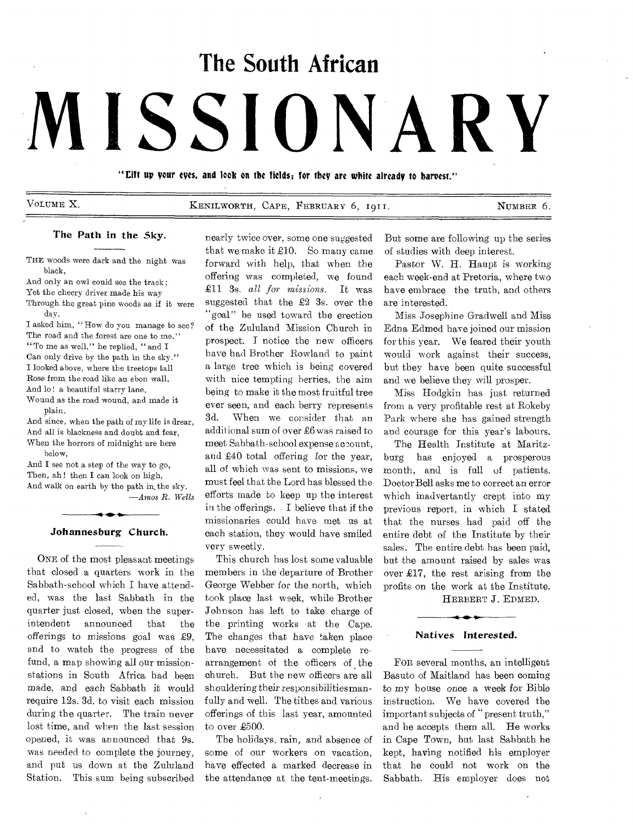# **The South African**

# **MISSIONARY**

"lift up your eyes, and look on the fields; for they are white already to harvest."

VOLUME X. KENILWORTH, CAPE, FEBRUARY 6, 1911. NUMBER 6.

#### The Path in the Sky.

THE woods were dark and the night was black,

And only an owl could see the track; Yet the cheery driver made his way Through the great pine woods as if it were day.

I asked him, "How do you manage to see? The road and the forest are one to me." "To me as well," he replied, "and I Can only drive by the path in the sky." I looked above, where the treetops tall Rose from the road like au ebon wall, And lo! a beautiful starry lane, Wound as the road wound, and made it

plain.

And since, when the path of my life is drear, And all is blackness and doubt and fear, When the horrors of midnight are here below,

And I see not a step of the way to go, Then, ah! then I can look on high, And walk on earth by the path in, the sky. *—Amos R. Wells* 

# $\bullet$ Johannesburg Church.

ONE of the most pleasant meetings that closed a quarters work in the Sabbath-school which I have attended, was the last Sabbath in the quarter just closed, when the superintendent announced that the offerings to missions goal was 29, and to watch the progress of the fund, a map showing all our missionstations in South Africa had been made, and each Sabbath it would require 12s. 3d. to visit each mission during the quarter. The train never lost time, and when the last session opened, it was announced that 9s. was needed to complete the journey, and put us down at the Zululand Station. This sum being subscribed

nearly twice over, some one suggested that we make it £10. So many came forward with help, that when the offering was completed, we found £11 3s. *all for missions.* It was suggested that the £2 3s. over the "goal" be used toward the erection of the Zululand Mission Church in prospect. I notice the new officers have had Brother Rowland to paint a large tree which is being covered with nice tempting berries, the aim being to make it the most fruitful tree ever seen, and each berry represents 3d. When we consider that an additional sum of over £6 was raised to meet Sabbath-school expense account, and £40 total offering for the year, all of which was sent to missions, we must feel that the Lord has blessed the efforts made to keep up the interest in the offerings. I believe that if the missionaries could have met us at each station, they would have smiled very sweetly.

This church has lost some valuable members in the departure of Brother George Webber for the north, which took place last week, while Brother Johnson has left to take charge of the printing works at the Cape. The changes that have taken place have necessitated a complete rearrangement of the officers of the church. But the new officers are all shouldering their responsibilities manfully and well. The tithes and various offerings of this last year, amounted to over £500.

The holidays, rain, and absence of some of our workers on vacation, have effected a marked decrease in the attendance at the tent-meetings. But some are following up the series of studies with deep interest.

Pastor W. H. Haupt is working each week-end at Pretoria, where two have embrace the truth, and others are interested.

Miss Josephine Gradwell and Miss Edna Edmed have joined our mission for this year. We feared their youth would work against their success, but they have been quite successful and we believe they will prosper.

Miss Hodgkin has just returned from a very profitable rest at Rokeby Park where she has gained strength and courage for this year's labours.

The Health Institute at Maritzburg has enjoyed a prosperous month, and is full of patients. Doctor Bell asks me to correct an error which inadvertantly crept into my previous report, in which I stated that the nurses had paid off the entire debt of the Institute by their sales. The entire debt has been paid, but the amount raised by sales was over £17, the rest arising from the profits on the work at the Institute.

HERBERT J. EDMED.

#### Natives Interested.

FOR several months, an intelligent Basuto of Maitland has been coming to my house once a week for Bible instruction. We have covered the important subjects of "present truth," and he accepts them all. He works in Cape Town, but last Sabbath he kept, having notified his employer that he could not work on the Sabbath. His employer does not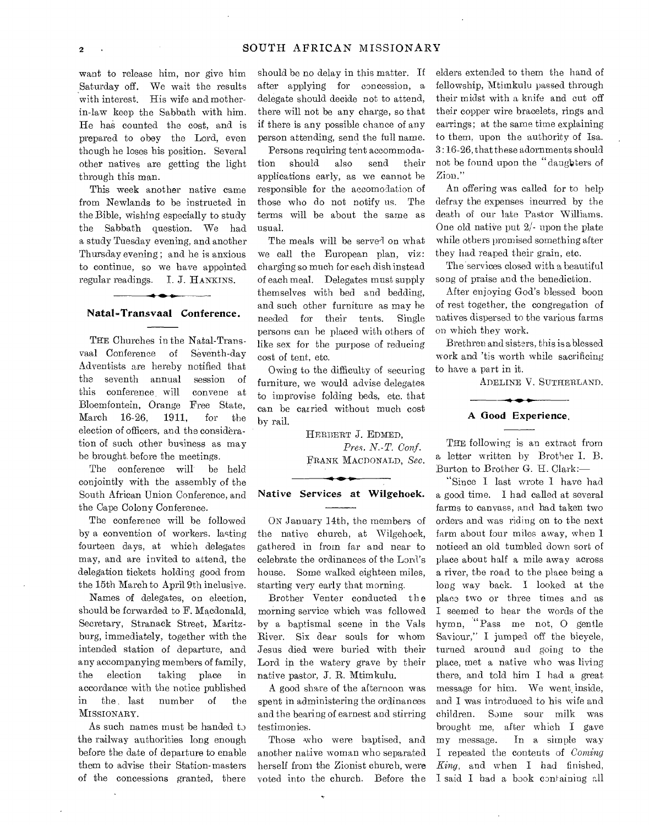want to release him, nor give him Saturday off. We wait the results with interest. His wife and motherin-law keep the Sabbath with him. He has counted the cost, and is prepared to obey the Lord, even though he loses his position. Several other natives are getting the light through this man.

This week another native came from Newlands to be instructed in the Bible, wishing especially to study the Sabbath question. We had a study Tuesday evening, and another Thursday evening ; and he is anxious to continue, so we have appointed regular readings. **I.** J. HANKINS.

#### **Natal.-Transvaal Conference.**

THE Churches in the Natal-Transvaal Conference of Seventh-day Adventists are hereby notified that the seventh annual session of this conference will convene at Bloemfontein, Orange Free State, March 16-26, 1911, for the election of officers, and the consideration of such other business as may he brought before the meetings.

The conference will be held conjointly with the assembly of the South African Union Conference, and the Cape Colony Conference.

The conference will be followed by a convention of workers. lasting fourteen days, at which delegates may, and are invited to attend, the delegation tickets holding good from the 15th March to April 9th inclusive.

Names of delegates, on election, should be forwarded to F. Macdonald, Secretary, Stranack Street, Maritzburg, immediately, together with the intended station of departure, and any accompanying members of family, the election taking place in accordance with the notice published in the . last number of the MISSIONARY.

As such names must be handed to the railway authorities long enough before the date of departure to enable them to advise their Station-masters of the concessions granted, there

should be no delay in this matter. If after applying for concession, a delegate should decide not to attend, there will not be any charge, so that if there is any possible chance of any person attending, send the full name.

Persons requiring tent accommodation should also send their applications early, as we cannot he responsible for the accomodation of those who do not notify us. The terms will be about the same as usual.

The meals will be served on what we call the European plan, viz: charging so much for each dish instead of each meal. Delegates must supply themselves with bed and bedding, and such other furniture as may he needed for their tents. Single persons can he placed with others of like sex for the purpose of reducing cost of tent, etc.

Owing to the difficulty of securing furniture, we would advise delegates to improvise folding beds, etc. that can be carried without much cost by rail.

> HERBERT J. EDMED, *Pres. N.-T. Conf.*  FRANK MACDONALD, *Sec.*

### **Native Services at Wilgehoek.**

ON January 14th, the members of the native church, at Wilgehoek, gathered in from far and near to celebrate the ordinances of the Lord's house. Some walked eighteen miles, starting very early that morning.

Brother Venter conducted the morning service which was followed by a baptismal scene in the Vals River. Six dear souls for whom Jesus died were buried with their Lord in the watery grave by their native pastor, J. R. Mtimkulu.

A good share of the afternoon was spent in administering the ordinances and the bearing of earnest and stirring testimonies.

Those who were baptised, and another native woman who separated herself from the Zionist church, were voted into the church. Before the

elders extended to them the hand of fellowship, Mtimkulu passed through their midst with a knife and cut off their copper wire bracelets, rings and earrings; at the same time explaining to them, upon the authority of Isa. 3 :16-26, that these adornments should not be found upon the "daughters of Zion."

An offering was called for to help defray the expenses incurred by the death of our late Pastor Williams. One old native put  $2/$ - upon the plate while others promised something after they had reaped their grain, etc.

The 'services closed with a beautiful song of praise and the benediction.

After enjoying God's blessed boon of rest together, the congregation of natives dispersed to the various farms on which they work.

Brethren and sisters, this is a blessed work and 'tis worth while sacrificing to have a part in it.

ADELINE V. SUTHERLAND.

#### **A Good Experience.**

THE following is an extract from a letter written by Brother I. B. Burton to Brother G. H. Clark:—

"Since I last wrote **I** have had a good time. I had called at several farms to canvass, and had taken two orders and was riding on to the next farm about four miles away, when I noticed an old tumbled down sort of place about half a mile away across a river, the road to the place being a long way back. I looked at the place two or three times and as I seemed to hear the words of the hymn, "Pass me not, 0 gentle Saviour," I jumped off the bicycle, turned around and going to the place, met a native who was living there, and told him I had a great message for him. We went inside, and I was introduced to his wife and children. Some sour milk was brought me, after which I gave my message. In a simple way I repeated the contents of *Coming King,* and when I had finished, I said I had a book containing all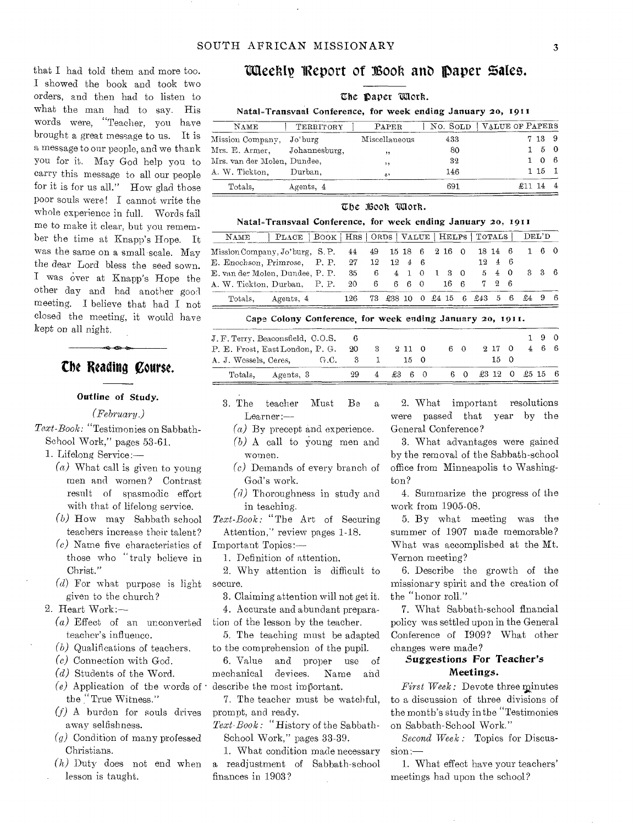that I had told them and more too. I showed the book and took two orders, and then had to listen to what the man had to say. His words were, "Teacher, you have brought a great message to us. It is a message to our people, and we thank you for it. May God help you to carry this message to all our people for it is for us all." How glad those poor souls were! I cannot write the whole experience in full. Words fail me to make it clear, but you remember the time at Knapp's Hope. It was the same on a small-scale. May the dear Lord bless the seed sown. I was over at Knapp's Hope the other day and had another good meeting. I believe that had I not closed the meeting, it would have kept on all night.

# **the Reading Course.**

#### Outline of Study.

*(February.)* 

*Text-Book:* "Testimonies on Sabbath-School Work," pages 53-61.

- 1. Lifelong Service:—
	- $(a)$  What call is given to young men and women? Contrast result of spasmodic effort with that of lifelong service.
	- (b) How may Sabbath school teachers increase their talent?
	- (c) Name five characteristics of those who "truly believe in Christ."
	- (d) For what purpose is light given to the church?
- 2. Heart Work:—
	- (a) Effect of an unconverted teacher's influence.
	- (b) Qualifications of teachers.
	- (c) Connection with God.
	- (d) Students of the Word.
	- (e) Application of the words of  $\cdot$  describe the most important. the "True Witness."
	- $(f)$  A burden for souls drives away selfishness.
	- *(a)* Condition of many professed Christians.
	- *(h)* Duty does not end when lesson is taught.

# Weekly Report of Book and Daper Sales.

#### The paper *Work*.

#### Natal=Transvaal Conference, for week ending January 20, 1911

| NAME                         | TERRITORY | PAPER         |     | NO. SOLD   VALUE OF PAPERS |
|------------------------------|-----------|---------------|-----|----------------------------|
| Mission Company, Jo'burg     |           | Miscellaneous | 433 | 7 13 9                     |
| Mrs. E. Armer. Johannesburg. |           | $, \,$        | 80  | 50                         |
| Mrs. van der Molen, Dundee,  |           | , ,           | 32  | $\Omega$                   |
| A. W. Tickton,               | Durban.   | 2.7           | 146 | 115                        |
| Totals.                      | Agents, 4 |               | 691 | £11 14                     |

#### The Book Work.

#### Natal=Transvaal Conference, for week ending January 20, 1911

| NAME                                                              | PLACE   BOOK   HRS   ORDS   VALUE   HELPS   TOTALS   DEL'D |                                        |  |  |  |                      |     |  |
|-------------------------------------------------------------------|------------------------------------------------------------|----------------------------------------|--|--|--|----------------------|-----|--|
| Mission Company, Jo'burg, S.P. 44 49 15 18 6 2 16 0 18 14 6 1 6 0 |                                                            |                                        |  |  |  |                      |     |  |
| E. Enochson, Primrose, P. P. 27 12 12 4 6                         |                                                            |                                        |  |  |  | $12 \quad 4 \quad 6$ |     |  |
| E. van der Molen, Dundee, P. P. 35 6 4 1 0 1 3 0                  |                                                            |                                        |  |  |  | 540                  | 336 |  |
| A. W. Tickton, Durban, P. P. 20 6 6 6 0 16 6                      |                                                            |                                        |  |  |  | 726                  |     |  |
|                                                                   | Totals, Agents, 4                                          | 126 73 £38 10 0 £4 15 6 £43 5 6 £4 9 6 |  |  |  |                      |     |  |

#### Cape Colony Conference, for week ending January 20, 1911.

| J. F. Terry, Beaconsfield, C.O.S. 6 |  |     |     |                              |    |                 |  | 190 |  |
|-------------------------------------|--|-----|-----|------------------------------|----|-----------------|--|-----|--|
| P. E. Frost, EastLondon, P. G. 20   |  |     | -3- | 211 0                        | 60 | 9.17 0          |  | 466 |  |
| A. J. Wessels, Ceres,<br>G.C. 3 1   |  |     |     | 150                          |    | 15 O            |  |     |  |
| Totals, Agents, 3                   |  | 29. |     | $4 \quad £3 \quad 6 \quad 0$ | 60 | £3 12 0 £5 15 6 |  |     |  |

- 3. The teacher Must Be a Learner
	- $(a)$  By precept and experience.
	- (b) A call to young men and women.
	- (c) Demands of every branch of God's work.
	- (d) Thoroughness in study and in teaching.

*Text-Book:* "The Art of Securing Attention," review pages 1-18.

Important Topics:-

1. Definition of attention.

2. Why attention is difficult to secure.

3. Claiming attention will not get it.

4. Accurate and abundant preparation of the lesson by the teacher.

5. The teaching must be adapted to the comprehension of the pupil.

6. Value and proper use of mechanical devices. Name and

7. The teacher must be watchful, prompt, and ready.

*Text-Book: "History* of the Sabbath-School Work," pages 33-39.

1. What condition made necessary a readjustment of Sabbath-school finances in 1903?

2. What important resolutions were passed that year by the General Conference?

3. What advantages were gained by the removal of the Sabbath-school office from Minneapolis to Washington?

4. Summarize the progress of the work from 1905-08.

5. By what meeting was the summer of 1907 made memorable? What was accomplished at the Mt. Vernon meeting?

6. Describe the growth of the missionary spirit and the creation of the "honor roll."

7. What Sabbath-school financial policy was settled upon in the General Conference of 1909? What other changes were made?

# *Suggestions* For Teacher's Meetings.

*First Week:* Devote three minutes to a discussion of three divisions of the month's study in the "Testimonies on Sabbath-School Work."

*Second Week :* Topics for Discussion :-

1. What effect have your teachers' meetings had upon the school?